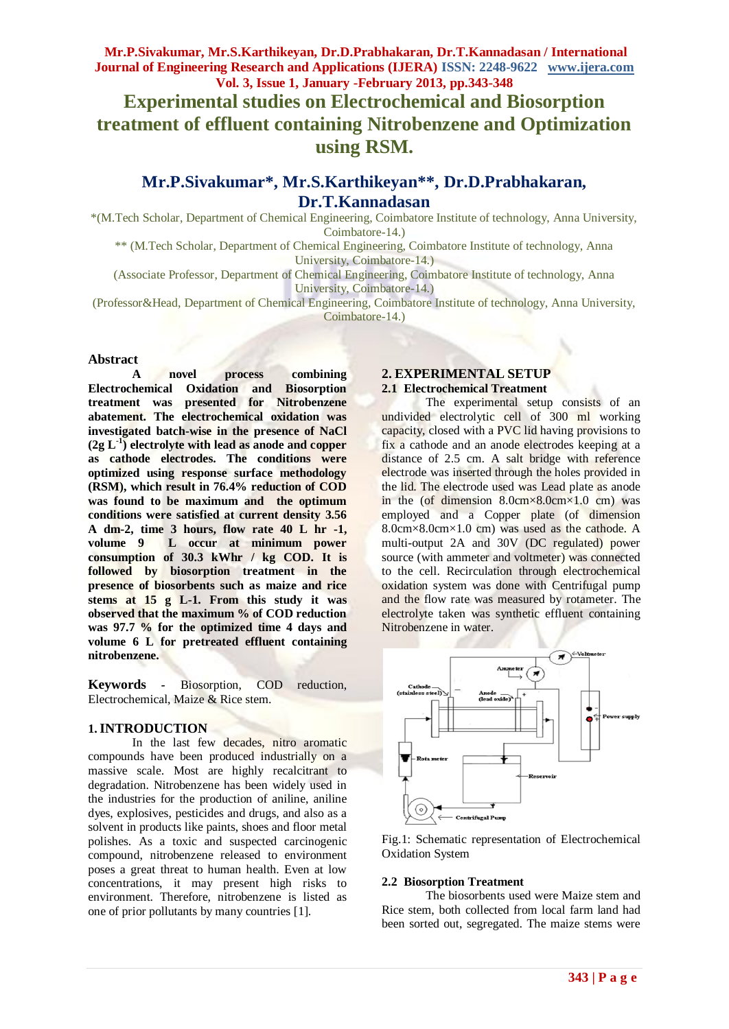## **Experimental studies on Electrochemical and Biosorption treatment of effluent containing Nitrobenzene and Optimization using RSM.**

### **Mr.P.Sivakumar\*, Mr.S.Karthikeyan\*\* , Dr.D.Prabhakaran, Dr.T.Kannadasan**

\*(M.Tech Scholar, Department of Chemical Engineering, Coimbatore Institute of technology, Anna University, Coimbatore-14.)

\*\* (M.Tech Scholar, Department of Chemical Engineering, Coimbatore Institute of technology, Anna University, Coimbatore-14.)

(Associate Professor, Department of Chemical Engineering, Coimbatore Institute of technology, Anna University, Coimbatore-14.)

(Professor&Head, Department of Chemical Engineering, Coimbatore Institute of technology, Anna University, Coimbatore-14.)

#### **Abstract**

**A novel process combining Electrochemical Oxidation and Biosorption treatment was presented for Nitrobenzene abatement. The electrochemical oxidation was investigated batch-wise in the presence of NaCl (2g L-1 ) electrolyte with lead as anode and copper as cathode electrodes. The conditions were optimized using response surface methodology (RSM), which result in 76.4% reduction of COD was found to be maximum and the optimum conditions were satisfied at current density 3.56 A dm-2, time 3 hours, flow rate 40 L hr -1, volume 9 L occur at minimum power consumption of 30.3 kWhr / kg COD. It is followed by biosorption treatment in the presence of biosorbents such as maize and rice stems at 15 g L-1. From this study it was observed that the maximum % of COD reduction was 97.7 % for the optimized time 4 days and volume 6 L for pretreated effluent containing nitrobenzene.**

**Keywords** *-* Biosorption, COD reduction, Electrochemical, Maize & Rice stem.

#### **1.INTRODUCTION**

In the last few decades, nitro aromatic compounds have been produced industrially on a massive scale. Most are highly recalcitrant to degradation. Nitrobenzene has been widely used in the industries for the production of aniline, aniline dyes, explosives, pesticides and drugs, and also as a solvent in products like paints, shoes and floor metal polishes. As a toxic and suspected carcinogenic compound, nitrobenzene released to environment poses a great threat to human health. Even at low concentrations, it may present high risks to environment. Therefore, nitrobenzene is listed as one of prior pollutants by many countries [1].

#### **2. EXPERIMENTAL SETUP 2.1 Electrochemical Treatment**

The experimental setup consists of an undivided electrolytic cell of 300 ml working capacity, closed with a PVC lid having provisions to fix a cathode and an anode electrodes keeping at a distance of 2.5 cm. A salt bridge with reference electrode was inserted through the holes provided in the lid. The electrode used was Lead plate as anode in the (of dimension  $8.0 \text{cm} \times 8.0 \text{cm} \times 1.0 \text{cm}$ ) was employed and a Copper plate (of dimension 8.0cm×8.0cm×1.0 cm) was used as the cathode. A multi-output 2A and 30V (DC regulated) power source (with ammeter and voltmeter) was connected to the cell. Recirculation through electrochemical oxidation system was done with Centrifugal pump and the flow rate was measured by rotameter. The electrolyte taken was synthetic effluent containing Nitrobenzene in water.





#### **2.2 Biosorption Treatment**

The biosorbents used were Maize stem and Rice stem, both collected from local farm land had been sorted out, segregated. The maize stems were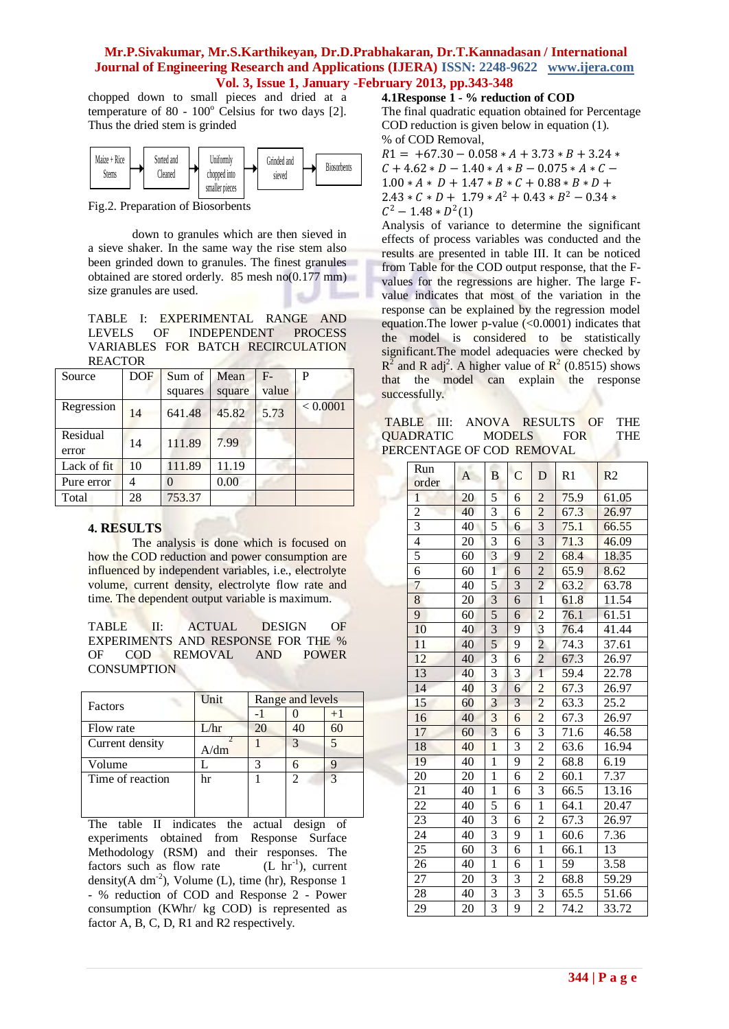chopped down to small pieces and dried at a temperature of  $80 - 100^{\circ}$  Celsius for two days [2]. Thus the dried stem is grinded

| Maize + Rice<br><b>Stems</b> | Sorted and<br><b>Teaned</b> | <b><i>Uniformly</i></b><br>chopped into | Grinded and<br>sieved | <b>Biosorbents</b> |  |
|------------------------------|-----------------------------|-----------------------------------------|-----------------------|--------------------|--|
|                              |                             | smaller pieces                          |                       |                    |  |

Fig.2. Preparation of Biosorbents

down to granules which are then sieved in a sieve shaker. In the same way the rise stem also been grinded down to granules. The finest granules obtained are stored orderly. 85 mesh no(0.177 mm) size granules are used.

TABLE I: EXPERIMENTAL RANGE AND LEVELS OF INDEPENDENT PROCESS VARIABLES FOR BATCH RECIRCULATION REACTOR

| Source            | <b>DOF</b> | Sum of  | Mean   | $F-$  | P        |
|-------------------|------------|---------|--------|-------|----------|
|                   |            | squares | square | value |          |
| Regression        | 14         | 641.48  | 45.82  | 5.73  | < 0.0001 |
| Residual<br>error | 14         | 111.89  | 7.99   |       |          |
| Lack of fit       | 10         | 111.89  | 11.19  |       |          |
| Pure error        | 4          |         | 0.00   |       |          |
| Total             | 28         | 753.37  |        |       |          |

#### **4. RESULTS**

The analysis is done which is focused on how the COD reduction and power consumption are influenced by independent variables, i.e., electrolyte volume, current density, electrolyte flow rate and time. The dependent output variable is maximum.

TABLE II: ACTUAL DESIGN OF EXPERIMENTS AND RESPONSE FOR THE % OF COD REMOVAL AND POWER **CONSUMPTION** 

| Factors          | Unit | Range and levels |    |    |
|------------------|------|------------------|----|----|
|                  |      |                  |    |    |
| Flow rate        | L/hr | 20               | 40 | 60 |
| Current density  | A/dm |                  |    |    |
| Volume           |      |                  |    |    |
| Time of reaction | hr   |                  | 2  | 3  |
|                  |      |                  |    |    |
|                  |      |                  |    |    |

The table II indicates the actual design of experiments obtained from Response Surface Methodology (RSM) and their responses. The factors such as flow rate  $(L \ hr^{-1})$ , current density( $A dm^{-2}$ ), Volume (L), time (hr), Response 1 - % reduction of COD and Response 2 - Power consumption (KWhr/ kg COD) is represented as factor A, B, C, D, R1 and R2 respectively.

**4.1Response 1 - % reduction of COD**

The final quadratic equation obtained for Percentage COD reduction is given below in equation (1). % of COD Removal,

 $R1 = +67.30 - 0.058 * A + 3.73 * B + 3.24 *$  $C + 4.62 * D - 1.40 * A * B - 0.075 * A * C 1.00 * A * D + 1.47 * B * C + 0.88 * B * D +$  $2.43 * C * D + 1.79 * A^2 + 0.43 * B^2 - 0.34 *$  $C^2 - 1.48 * D^2(1)$ 

Analysis of variance to determine the significant effects of process variables was conducted and the results are presented in table III. It can be noticed from Table for the COD output response, that the Fvalues for the regressions are higher. The large Fvalue indicates that most of the variation in the response can be explained by the regression model equation. The lower p-value  $\ll 0.0001$  indicates that the model is considered to be statistically significant.The model adequacies were checked by  $R^2$  and R adj<sup>2</sup>. A higher value of  $R^2$  (0.8515) shows that the model can explain the response successfully.

| TABLE III: ANOVA RESULTS OF THE |                             |            |
|---------------------------------|-----------------------------|------------|
| QUADRATIC                       | <b>FOR</b><br><b>MODELS</b> | <b>THE</b> |
| PERCENTAGE OF COD REMOVAL       |                             |            |

| Run<br>order    | A               | B                       | $\overline{C}$          | D                       | R1   | R <sub>2</sub>     |
|-----------------|-----------------|-------------------------|-------------------------|-------------------------|------|--------------------|
| $\mathbf{1}$    | 20              | 5                       | 6                       | $\overline{c}$          | 75.9 | 61.05              |
| $\overline{2}$  | 40              | $\overline{3}$          | 6                       | $\overline{2}$          | 67.3 | 26.97              |
| $\overline{3}$  | 40              | 5                       | $\overline{6}$          | $\overline{3}$          | 75.1 | 66.55              |
| $\overline{4}$  | 20              | $\overline{3}$          | 6                       | $\overline{3}$          | 71.3 | 46.09              |
| 5               | 60              | $\overline{3}$          | 9                       | $\overline{c}$          | 68.4 | 18.35              |
| $\overline{6}$  | 60              | $\overline{1}$          | $\overline{6}$          | $\overline{c}$          | 65.9 | 8.62               |
| 7               | $\overline{40}$ | 5                       | $\overline{3}$          | $\overline{2}$          | 63.2 | 63.78              |
| $\overline{8}$  | 20              | $\overline{3}$          | $\overline{6}$          | $\overline{1}$          | 61.8 | 11.54              |
| 9               | 60              | 5                       | 6                       | $\overline{c}$          | 76.1 | 61.51              |
| 10              | 40              | $\overline{3}$          | 9                       | $\overline{3}$          | 76.4 | 41.44              |
| 11              | 40              | 5                       | 9                       | $\overline{2}$          | 74.3 | 37.61              |
| 12              | 40              | $\overline{\mathbf{3}}$ | 6                       | $\overline{c}$          | 67.3 | $\overline{2}6.97$ |
| 13              | 40              | $\overline{3}$          | $\overline{\mathbf{3}}$ | $\overline{1}$          | 59.4 | 22.78              |
| 14              | 40              | $\overline{3}$          | 6                       | $\overline{2}$          | 67.3 | 26.97              |
| 15              | 60              | $\overline{3}$          | $\overline{\mathbf{3}}$ | $\overline{c}$          | 63.3 | $25.\overline{2}$  |
| 16              | 40              | $\overline{3}$          | 6                       | $\overline{2}$          | 67.3 | 26.97              |
| 17              | 60              | $\overline{\mathbf{3}}$ | 6                       | 3                       | 71.6 | 46.58              |
| 18              | 40              | $\overline{1}$          | 3                       | $\overline{2}$          | 63.6 | 16.94              |
| 19              | 40              | $\mathbf{1}$            | 9                       | $\overline{2}$          | 68.8 | 6.19               |
| 20              | 20              | $\overline{1}$          | 6                       | $\overline{2}$          | 60.1 | $7.\overline{37}$  |
| 21              | 40              | $\overline{1}$          | 6                       | $\overline{\mathbf{3}}$ | 66.5 | 13.16              |
| 22              | 40              | 5                       | 6                       | $\overline{1}$          | 64.1 | 20.47              |
| 23              | 40              | $\overline{3}$          | 6                       | $\overline{2}$          | 67.3 | 26.97              |
| 24              | 40              | $\overline{3}$          | 9                       | $\mathbf 1$             | 60.6 | 7.36               |
| $25\overline{}$ | 60              | $\overline{3}$          | 6                       | $\overline{1}$          | 66.1 | 13                 |
| 26              | 40              | $\overline{1}$          | 6                       | $\mathbf{1}$            | 59   | 3.58               |
| 27              | 20              | 3                       | 3                       | $\overline{c}$          | 68.8 | 59.29              |
| $\overline{28}$ | 40              | $\overline{3}$          | $\overline{\mathbf{3}}$ | $\overline{3}$          | 65.5 | 51.66              |
| 29              | 20              | $\overline{3}$          | 9                       | $\overline{2}$          | 74.2 | 33.72              |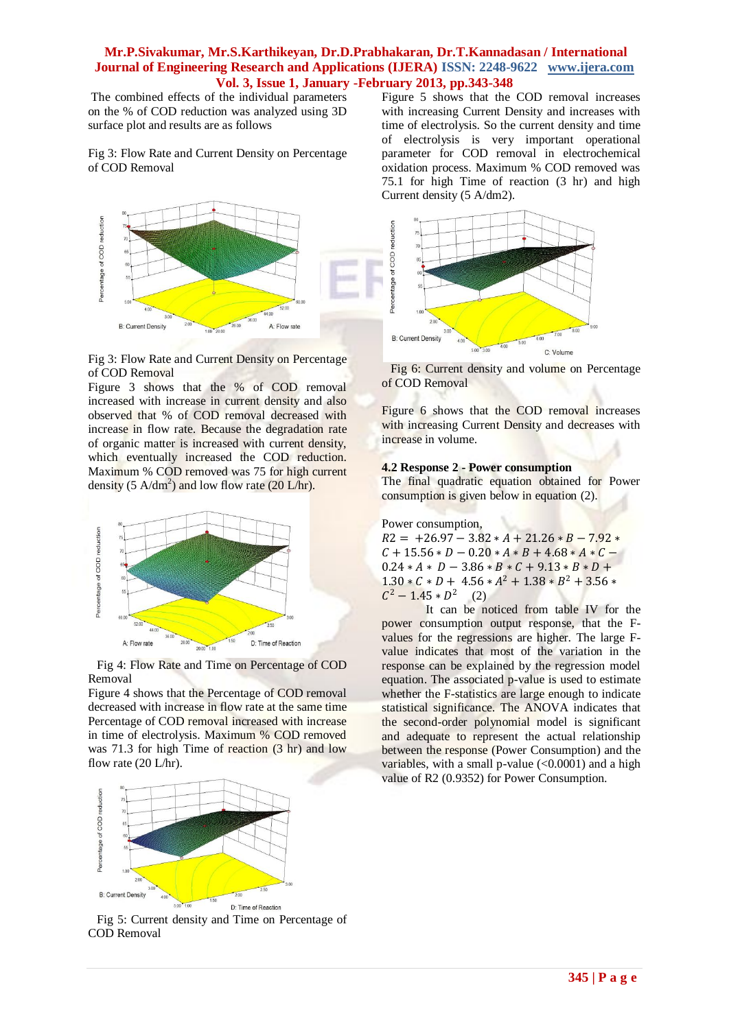The combined effects of the individual parameters on the % of COD reduction was analyzed using 3D surface plot and results are as follows

Fig 3: Flow Rate and Current Density on Percentage of COD Removal



#### Fig 3: Flow Rate and Current Density on Percentage of COD Removal

Figure 3 shows that the % of COD removal increased with increase in current density and also observed that % of COD removal decreased with increase in flow rate. Because the degradation rate of organic matter is increased with current density, which eventually increased the COD reduction. Maximum % COD removed was 75 for high current density (5  $A/dm^2$ ) and low flow rate (20 L/hr).



Fig 4: Flow Rate and Time on Percentage of COD Removal

Figure 4 shows that the Percentage of COD removal decreased with increase in flow rate at the same time Percentage of COD removal increased with increase in time of electrolysis. Maximum % COD removed was 71.3 for high Time of reaction (3 hr) and low flow rate (20 L/hr).



Fig 5: Current density and Time on Percentage of COD Removal

Figure 5 shows that the COD removal increases with increasing Current Density and increases with time of electrolysis. So the current density and time of electrolysis is very important operational parameter for COD removal in electrochemical oxidation process. Maximum % COD removed was 75.1 for high Time of reaction (3 hr) and high Current density (5 A/dm2).



Fig 6: Current density and volume on Percentage of COD Removal

Figure 6 shows that the COD removal increases with increasing Current Density and decreases with increase in volume.

#### **4.2 Response 2 - Power consumption**

The final quadratic equation obtained for Power consumption is given below in equation (2).

Power consumption,

 $R2 = +26.97 - 3.82 * A + 21.26 * B - 7.92 *$  $C + 15.56 * D - 0.20 * A * B + 4.68 * A * C 0.24 * A * D - 3.86 * B * C + 9.13 * B * D +$  $1.30 * C * D + 4.56 * A^2 + 1.38 * B^2 + 3.56 *$  $C^2 - 1.45 * D^2$  (2)

It can be noticed from table IV for the power consumption output response, that the Fvalues for the regressions are higher. The large Fvalue indicates that most of the variation in the response can be explained by the regression model equation. The associated p-value is used to estimate whether the F-statistics are large enough to indicate statistical significance. The ANOVA indicates that the second-order polynomial model is significant and adequate to represent the actual relationship between the response (Power Consumption) and the variables, with a small p-value  $(<0.0001$ ) and a high value of R2 (0.9352) for Power Consumption.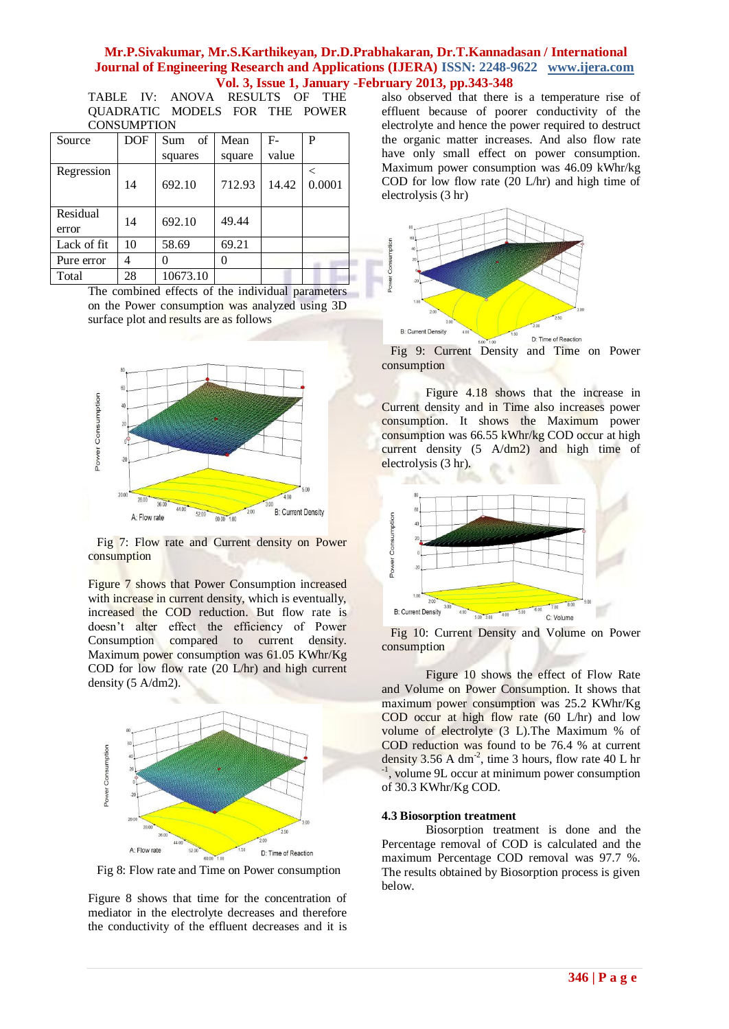TABLE IV: ANOVA RESULTS OF THE QUADRATIC MODELS FOR THE POWER **CONSUMPTION** 

| Source            | <b>DOF</b> | of<br>Sum | Mean   | F-    | P      |
|-------------------|------------|-----------|--------|-------|--------|
|                   |            | squares   | square | value |        |
| Regression        | 14         | 692.10    | 712.93 | 14.42 | 0.0001 |
| Residual<br>error | 14         | 692.10    | 49.44  |       |        |
| Lack of fit       | 10         | 58.69     | 69.21  |       |        |
| Pure error        | 4          |           |        |       |        |
| Total             | 28         | 10673.10  |        |       |        |

The combined effects of the individual parameters on the Power consumption was analyzed using 3D surface plot and results are as follows



Fig 7: Flow rate and Current density on Power consumption

Figure 7 shows that Power Consumption increased with increase in current density, which is eventually, increased the COD reduction. But flow rate is doesn't alter effect the efficiency of Power Consumption compared to current density. Maximum power consumption was 61.05 KWhr/Kg COD for low flow rate (20 L/hr) and high current density (5 A/dm2).



Fig 8: Flow rate and Time on Power consumption

Figure 8 shows that time for the concentration of mediator in the electrolyte decreases and therefore the conductivity of the effluent decreases and it is also observed that there is a temperature rise of effluent because of poorer conductivity of the electrolyte and hence the power required to destruct the organic matter increases. And also flow rate have only small effect on power consumption. Maximum power consumption was 46.09 kWhr/kg COD for low flow rate (20 L/hr) and high time of electrolysis (3 hr)



Fig 9: Current Density and Time on Power consumption

Figure 4.18 shows that the increase in Current density and in Time also increases power consumption. It shows the Maximum power consumption was 66.55 kWhr/kg COD occur at high current density (5 A/dm2) and high time of electrolysis (3 hr).



Fig 10: Current Density and Volume on Power consumption

Figure 10 shows the effect of Flow Rate and Volume on Power Consumption. It shows that maximum power consumption was 25.2 KWhr/Kg COD occur at high flow rate (60 L/hr) and low volume of electrolyte (3 L).The Maximum % of COD reduction was found to be 76.4 % at current density  $3.56$  A dm<sup>-2</sup>, time 3 hours, flow rate 40 L hr -1 , volume 9L occur at minimum power consumption of 30.3 KWhr/Kg COD.

#### **4.3 Biosorption treatment**

Biosorption treatment is done and the Percentage removal of COD is calculated and the maximum Percentage COD removal was 97.7 %. The results obtained by Biosorption process is given below.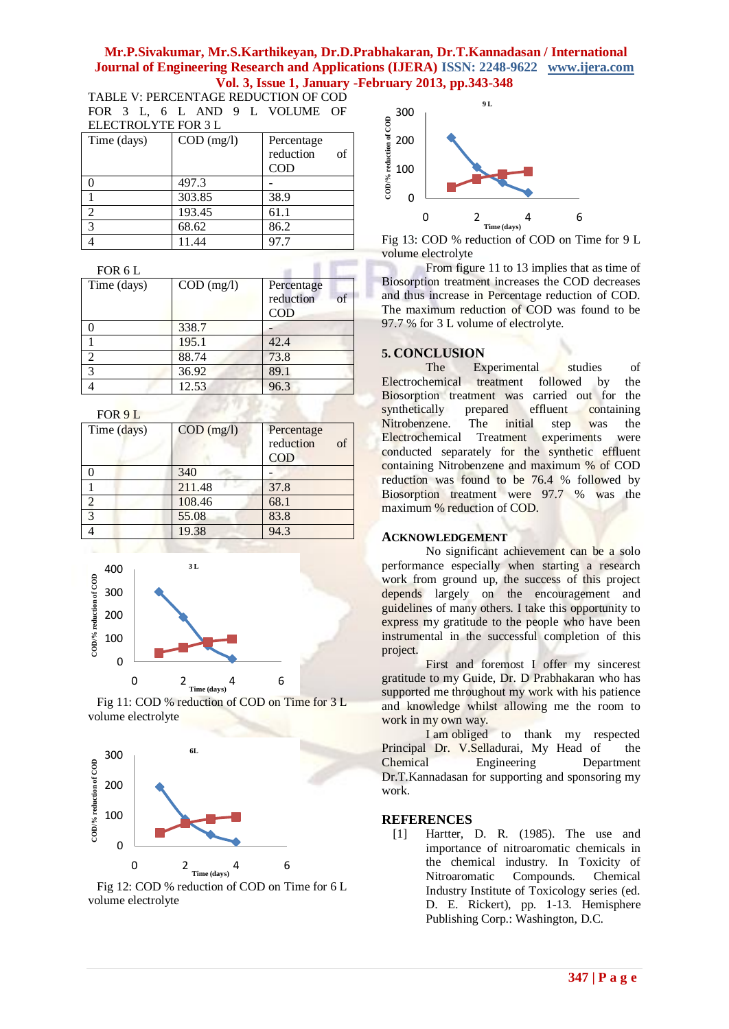TABLE V: PERCENTAGE REDUCTION OF COD FOR 3 L, 6 L AND 9 L VOLUME OF ELECTROLYTE FOR 3 L

| 888 - 889 - 890 - 891 - 892 - 893 - 894 - 895 - 896 - 897 - 898 - 899 - 899 - 899 - 899 - 899 - 899 - 899 - 89 |              |                 |  |  |  |
|----------------------------------------------------------------------------------------------------------------|--------------|-----------------|--|--|--|
| Time (days)                                                                                                    | $COD$ (mg/l) | Percentage      |  |  |  |
|                                                                                                                |              | reduction<br>of |  |  |  |
|                                                                                                                |              | COD             |  |  |  |
|                                                                                                                | 497.3        |                 |  |  |  |
|                                                                                                                | 303.85       | 38.9            |  |  |  |
| $\overline{2}$                                                                                                 | 193.45       | 61.1            |  |  |  |
| 3                                                                                                              | 68.62        | 86.2            |  |  |  |
|                                                                                                                | 11.44        | 97.7            |  |  |  |

| FOR 6 L        |              |                                              |
|----------------|--------------|----------------------------------------------|
| Time (days)    | $COD$ (mg/l) | Percentage<br>$\sigma$ f<br>reduction<br>COD |
|                | 338.7        |                                              |
|                | 195.1        | 42.4                                         |
| $\mathfrak{D}$ | 88.74        | 73.8                                         |
| 3              | 36.92        | 89.1                                         |
|                | 12.53        | 96.3                                         |

FOR 9 L

| Time (days)   | $COD$ (mg/l) | Percentage<br>reduction<br>of<br><b>COD</b> |
|---------------|--------------|---------------------------------------------|
|               | 340          |                                             |
|               | 211.48       | 37.8                                        |
| $\mathcal{D}$ | 108.46       | 68.1                                        |
| 3             | 55.08        | 83.8                                        |
|               | 19.38        | 94.3                                        |







Fig 12: COD % reduction of COD on Time for 6 L volume electrolyte



Fig 13: COD % reduction of COD on Time for 9 L volume electrolyte

From figure 11 to 13 implies that as time of Biosorption treatment increases the COD decreases and thus increase in Percentage reduction of COD. The maximum reduction of COD was found to be 97.7 % for 3 L volume of electrolyte.

# **5. CONCLUSION**

Experimental studies of Electrochemical treatment followed by the Biosorption treatment was carried out for the<br>synthetically prepared effluent containing prepared effluent containing Nitrobenzene. The initial step was the Electrochemical Treatment experiments were conducted separately for the synthetic effluent containing Nitrobenzene and maximum % of COD reduction was found to be 76.4 % followed by Biosorption treatment were 97.7 % was the maximum % reduction of COD.

#### **ACKNOWLEDGEMENT**

No significant achievement can be a solo performance especially when starting a research work from ground up, the success of this project depends largely on the encouragement and guidelines of many others. I take this opportunity to express my gratitude to the people who have been instrumental in the successful completion of this project.

First and foremost I offer my sincerest gratitude to my Guide, Dr. D Prabhakaran who has supported me throughout my work with his patience and knowledge whilst allowing me the room to work in my own way.

I am obliged to thank my respected Principal Dr. V.Selladurai, My Head of the Chemical Engineering Department Dr.T.Kannadasan for supporting and sponsoring my work.

#### **REFERENCES**

[1] Hartter, D. R. (1985). The use and importance of nitroaromatic chemicals in the chemical industry. In Toxicity of Nitroaromatic Compounds. Chemical Industry Institute of Toxicology series (ed. D. E. Rickert), pp. 1-13. Hemisphere Publishing Corp.: Washington, D.C.